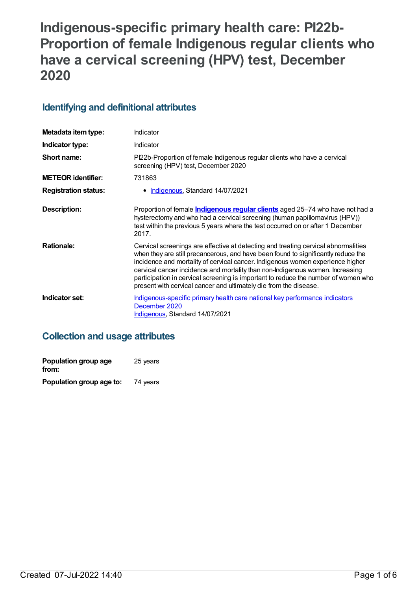# **Indigenous-specific primary health care: PI22b-Proportion of female Indigenous regular clients who have a cervical screening (HPV) test, December 2020**

# **Identifying and definitional attributes**

| Metadata item type:         | Indicator                                                                                                                                                                                                                                                                                                                                                                                                                                                                                             |
|-----------------------------|-------------------------------------------------------------------------------------------------------------------------------------------------------------------------------------------------------------------------------------------------------------------------------------------------------------------------------------------------------------------------------------------------------------------------------------------------------------------------------------------------------|
| Indicator type:             | Indicator                                                                                                                                                                                                                                                                                                                                                                                                                                                                                             |
| Short name:                 | PI22b-Proportion of female Indigenous regular clients who have a cervical<br>screening (HPV) test, December 2020                                                                                                                                                                                                                                                                                                                                                                                      |
| <b>METEOR identifier:</b>   | 731863                                                                                                                                                                                                                                                                                                                                                                                                                                                                                                |
| <b>Registration status:</b> | Indigenous, Standard 14/07/2021                                                                                                                                                                                                                                                                                                                                                                                                                                                                       |
| <b>Description:</b>         | Proportion of female <i>Indigenous regular clients</i> aged 25-74 who have not had a<br>hysterectomy and who had a cervical screening (human papillomavirus (HPV))<br>test within the previous 5 years where the test occurred on or after 1 December<br>2017.                                                                                                                                                                                                                                        |
| <b>Rationale:</b>           | Cervical screenings are effective at detecting and treating cervical abnormalities<br>when they are still precancerous, and have been found to significantly reduce the<br>incidence and mortality of cervical cancer. Indigenous women experience higher<br>cervical cancer incidence and mortality than non-Indigenous women. Increasing<br>participation in cervical screening is important to reduce the number of women who<br>present with cervical cancer and ultimately die from the disease. |
| Indicator set:              | Indigenous-specific primary health care national key performance indicators<br>December 2020<br>Indigenous, Standard 14/07/2021                                                                                                                                                                                                                                                                                                                                                                       |

# **Collection and usage attributes**

| Population group age<br>from: | 25 years |
|-------------------------------|----------|
| Population group age to:      | 74 years |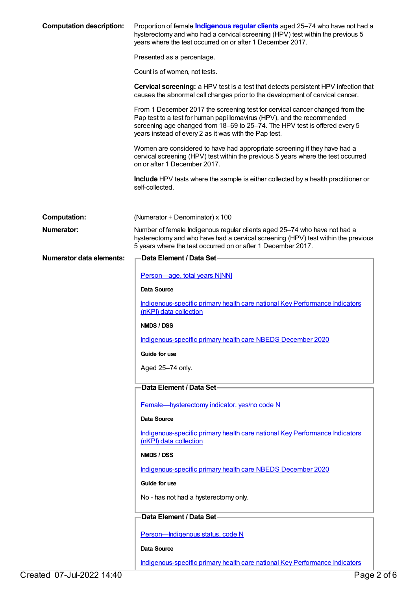| <b>Computation description:</b> | Proportion of female <i>Indigenous regular clients</i> aged 25-74 who have not had a<br>hysterectomy and who had a cervical screening (HPV) test within the previous 5<br>years where the test occurred on or after 1 December 2017.                                                          |
|---------------------------------|-----------------------------------------------------------------------------------------------------------------------------------------------------------------------------------------------------------------------------------------------------------------------------------------------|
|                                 | Presented as a percentage.                                                                                                                                                                                                                                                                    |
|                                 | Count is of women, not tests.                                                                                                                                                                                                                                                                 |
|                                 | <b>Cervical screening:</b> a HPV test is a test that detects persistent HPV infection that<br>causes the abnormal cell changes prior to the development of cervical cancer.                                                                                                                   |
|                                 | From 1 December 2017 the screening test for cervical cancer changed from the<br>Pap test to a test for human papillomavirus (HPV), and the recommended<br>screening age changed from 18-69 to 25-74. The HPV test is offered every 5<br>years instead of every 2 as it was with the Pap test. |
|                                 | Women are considered to have had appropriate screening if they have had a<br>cervical screening (HPV) test within the previous 5 years where the test occurred<br>on or after 1 December 2017.                                                                                                |
|                                 | <b>Include</b> HPV tests where the sample is either collected by a health practitioner or<br>self-collected.                                                                                                                                                                                  |
| <b>Computation:</b>             | (Numerator $\div$ Denominator) x 100                                                                                                                                                                                                                                                          |
| <b>Numerator:</b>               | Number of female Indigenous regular clients aged 25-74 who have not had a<br>hysterectomy and who have had a cervical screening (HPV) test within the previous<br>5 years where the test occurred on or after 1 December 2017.                                                                |
| <b>Numerator data elements:</b> | Data Element / Data Set-                                                                                                                                                                                                                                                                      |
|                                 | Person-age, total years N[NN]                                                                                                                                                                                                                                                                 |
|                                 | Data Source                                                                                                                                                                                                                                                                                   |
|                                 | Indigenous-specific primary health care national Key Performance Indicators<br>(nKPI) data collection                                                                                                                                                                                         |
|                                 | NMDS / DSS                                                                                                                                                                                                                                                                                    |
|                                 | Indigenous-specific primary health care NBEDS December 2020                                                                                                                                                                                                                                   |
|                                 | Guide for use                                                                                                                                                                                                                                                                                 |
|                                 | Aged 25-74 only.                                                                                                                                                                                                                                                                              |
|                                 | Data Element / Data Set-                                                                                                                                                                                                                                                                      |
|                                 | Female-hysterectomy indicator, yes/no code N                                                                                                                                                                                                                                                  |
|                                 | Data Source                                                                                                                                                                                                                                                                                   |
|                                 | Indigenous-specific primary health care national Key Performance Indicators<br>(nKPI) data collection                                                                                                                                                                                         |
|                                 | NMDS / DSS                                                                                                                                                                                                                                                                                    |
|                                 | Indigenous-specific primary health care NBEDS December 2020                                                                                                                                                                                                                                   |
|                                 | Guide for use                                                                                                                                                                                                                                                                                 |
|                                 | No - has not had a hysterectomy only.                                                                                                                                                                                                                                                         |
|                                 | Data Element / Data Set-                                                                                                                                                                                                                                                                      |
|                                 | Person-Indigenous status, code N                                                                                                                                                                                                                                                              |
|                                 | <b>Data Source</b>                                                                                                                                                                                                                                                                            |
|                                 | Indigenous-specific primary health care national Key Performance Indicators                                                                                                                                                                                                                   |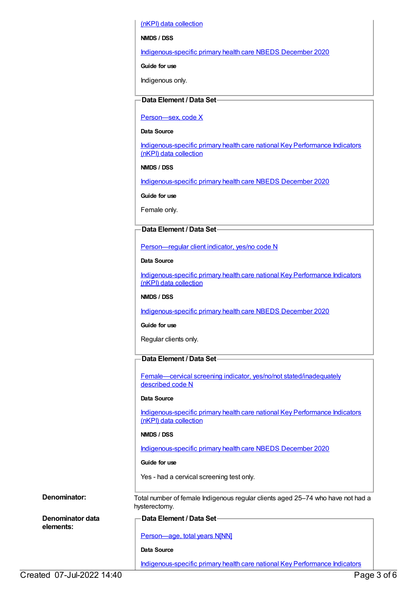(nKPI) data collection

**NMDS / DSS**

[Indigenous-specific](https://meteor.aihw.gov.au/content/738532) primary health care NBEDS December 2020

**Guide for use**

Indigenous only.

## **Data Element / Data Set**

Person-sex, code X

#### **Data Source**

[Indigenous-specific](https://meteor.aihw.gov.au/content/737914) primary health care national Key Performance Indicators (nKPI) data collection

#### **NMDS / DSS**

[Indigenous-specific](https://meteor.aihw.gov.au/content/738532) primary health care NBEDS December 2020

**Guide for use**

Female only.

### **Data Element / Data Set**

[Person—regular](https://meteor.aihw.gov.au/content/686291) client indicator, yes/no code N

#### **Data Source**

[Indigenous-specific](https://meteor.aihw.gov.au/content/737914) primary health care national Key Performance Indicators (nKPI) data collection

#### **NMDS / DSS**

[Indigenous-specific](https://meteor.aihw.gov.au/content/738532) primary health care NBEDS December 2020

#### **Guide for use**

Regular clients only.

# **Data Element / Data Set**

Female—cervical screening indicator, yes/no/not [stated/inadequately](https://meteor.aihw.gov.au/content/731925) described code N

#### **Data Source**

[Indigenous-specific](https://meteor.aihw.gov.au/content/737914) primary health care national Key Performance Indicators (nKPI) data collection

#### **NMDS / DSS**

[Indigenous-specific](https://meteor.aihw.gov.au/content/738532) primary health care NBEDS December 2020

#### **Guide for use**

Yes - had a cervical screening test only.

**Denominator:** Total number of female Indigenous regular clients aged 25–74 who have not had a

**Denominator data elements:**

### **Data Element / Data Set**

[Person—age,](https://meteor.aihw.gov.au/content/303794) total years N[NN]

# **Data Source**

hysterectomy.

[Indigenous-specific](https://meteor.aihw.gov.au/content/737914) primary health care national Key Performance Indicators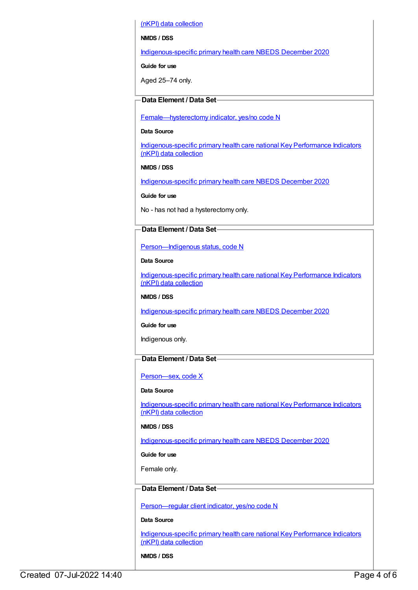(nKPI) data collection

**NMDS / DSS**

[Indigenous-specific](https://meteor.aihw.gov.au/content/738532) primary health care NBEDS December 2020

**Guide for use**

Aged 25–74 only.

# **Data Element / Data Set**

[Female—hysterectomy](https://meteor.aihw.gov.au/content/457775) indicator, yes/no code N

#### **Data Source**

[Indigenous-specific](https://meteor.aihw.gov.au/content/737914) primary health care national Key Performance Indicators (nKPI) data collection

#### **NMDS / DSS**

[Indigenous-specific](https://meteor.aihw.gov.au/content/738532) primary health care NBEDS December 2020

**Guide for use**

No - has not had a hysterectomy only.

# **Data Element / Data Set**

[Person—Indigenous](https://meteor.aihw.gov.au/content/602543) status, code N

**Data Source**

[Indigenous-specific](https://meteor.aihw.gov.au/content/737914) primary health care national Key Performance Indicators (nKPI) data collection

### **NMDS / DSS**

[Indigenous-specific](https://meteor.aihw.gov.au/content/738532) primary health care NBEDS December 2020

**Guide for use**

Indigenous only.

# **Data Element / Data Set**

### [Person—sex,](https://meteor.aihw.gov.au/content/635126) code X

#### **Data Source**

[Indigenous-specific](https://meteor.aihw.gov.au/content/737914) primary health care national Key Performance Indicators (nKPI) data collection

### **NMDS / DSS**

[Indigenous-specific](https://meteor.aihw.gov.au/content/738532) primary health care NBEDS December 2020

**Guide for use**

Female only.

# **Data Element / Data Set**

[Person—regular](https://meteor.aihw.gov.au/content/686291) client indicator, yes/no code N

#### **Data Source**

[Indigenous-specific](https://meteor.aihw.gov.au/content/737914) primary health care national Key Performance Indicators (nKPI) data collection

**NMDS / DSS**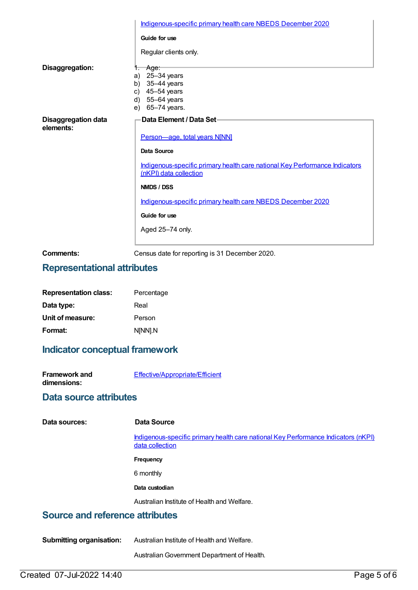|                                         | Indigenous-specific primary health care NBEDS December 2020                                           |
|-----------------------------------------|-------------------------------------------------------------------------------------------------------|
|                                         | Guide for use                                                                                         |
|                                         | Regular clients only.                                                                                 |
| Disaggregation:                         | −Age:<br>1.                                                                                           |
|                                         | a) 25-34 years                                                                                        |
|                                         | b) $35-44$ years                                                                                      |
|                                         | c) $45-54$ years                                                                                      |
|                                         | d) $55-64$ years                                                                                      |
|                                         | e) 65-74 years.                                                                                       |
|                                         |                                                                                                       |
| <b>Disaggregation data</b><br>elements: | <b>Data Element / Data Set-</b>                                                                       |
|                                         | Person-age, total years N[NN]                                                                         |
|                                         | Data Source                                                                                           |
|                                         | Indigenous-specific primary health care national Key Performance Indicators<br>(nKPI) data collection |
|                                         | NMDS / DSS                                                                                            |
|                                         | Indigenous-specific primary health care NBEDS December 2020                                           |
|                                         | Guide for use                                                                                         |
|                                         | Aged 25-74 only.                                                                                      |
|                                         |                                                                                                       |

**Comments:** Census date for reporting is 31 December 2020.

# **Representational attributes**

| <b>Representation class:</b> | Percentage |
|------------------------------|------------|
| Data type:                   | Real       |
| Unit of measure:             | Person     |
| Format:                      | N[NN].N    |

# **Indicator conceptual framework**

| <b>Framework and</b> | <b>Effective/Appropriate/Efficient</b> |
|----------------------|----------------------------------------|
| dimensions:          |                                        |

# **Data source attributes**

| Data sources: |  |
|---------------|--|
|---------------|--|

**Data Source** 

[Indigenous-specific](https://meteor.aihw.gov.au/content/737914) primary health care national Key Performance Indicators (nKPI) data collection

**Frequency**

6 monthly

**Data custodian**

Australian Institute of Health and Welfare.

# **Source and reference attributes**

**Submitting organisation:** Australian Institute of Health and Welfare.

AustralianGovernment Department of Health.